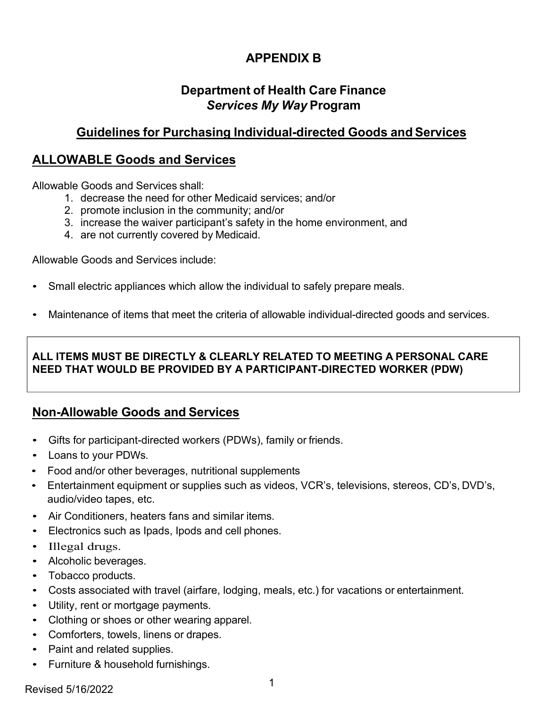# **APPENDIX B**

# **Department of Health Care Finance** *Services My Way* **Program**

# **Guidelines for Purchasing Individual-directed Goods and Services**

### **ALLOWABLE Goods and Services**

Allowable Goods and Services shall:

- 1. decrease the need for other Medicaid services; and/or
- 2. promote inclusion in the community; and/or
- 3. increase the waiver participant's safety in the home environment, and
- 4. are not currently covered by Medicaid.

Allowable Goods and Services include:

- Small electric appliances which allow the individual to safely prepare meals.
- Maintenance of items that meet the criteria of allowable individual-directed goods and services.

#### **ALL ITEMS MUST BE DIRECTLY & CLEARLY RELATED TO MEETING A PERSONAL CARE NEED THAT WOULD BE PROVIDED BY A PARTICIPANT-DIRECTED WORKER (PDW)**

### **Non-Allowable Goods and Services**

- Gifts for participant-directed workers (PDWs), family or friends.
- Loans to your PDWs.
- Food and/or other beverages, nutritional supplements
- Entertainment equipment or supplies such as videos, VCR's, televisions, stereos, CD's, DVD's, audio/video tapes, etc.
- Air Conditioners, heaters fans and similar items.
- Electronics such as Ipads, Ipods and cell phones.
- Illegal drugs.
- Alcoholic beverages.
- Tobacco products.
- Costs associated with travel (airfare, lodging, meals, etc.) for vacations or entertainment.
- Utility, rent or mortgage payments.
- Clothing or shoes or other wearing apparel.
- Comforters, towels, linens or drapes.
- Paint and related supplies.
- Furniture & household furnishings.